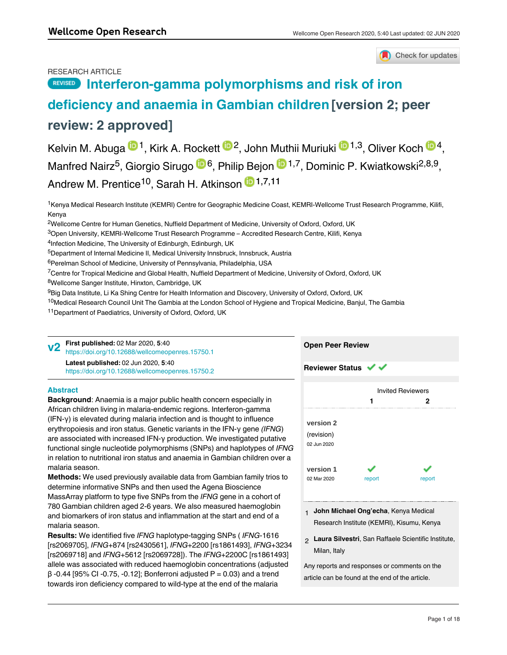Check for updates

## RESEARCH ARTICLE

# **[Interferon-gamma polymorphisms and risk of iron](https://wellcomeopenresearch.org/articles/5-40/v2) REVISED**

# **[deficiency and anaemia in Gambian children](https://wellcomeopenresearch.org/articles/5-40/v2) [version 2; peer review: 2 approved]**

Kelvin M. Abuga <sup>10</sup>, Kirk A. Rockett <sup>102</sup>, John Muthii Muriuki <sup>10,3</sup>, Oliver Koch <sup>104</sup>, Manfred Nairz<sup>5</sup>, Giorgio Sirugo <sup>in 6</sup>, Philip Bejon <sup>in 1,7</sup>, Dominic P. Kwiatkowski<sup>2,8,9</sup>, Andrew M. Prentice<sup>10</sup>, Sarah H. Atkinson <sup>191,7,11</sup>

<sup>1</sup>Kenya Medical Research Institute (KEMRI) Centre for Geographic Medicine Coast, KEMRI-Wellcome Trust Research Programme, Kilifi, Kenya

 $^2$ Wellcome Centre for Human Genetics, Nuffield Department of Medicine, University of Oxford, Oxford, UK

 $^3$ Open University, KEMRI-Wellcome Trust Research Programme – Accredited Research Centre, Kilifi, Kenya

<sup>6</sup>Perelman School of Medicine, University of Pennsylvania, Philadelphia, USA

 $^{7}$ Centre for Tropical Medicine and Global Health, Nuffield Department of Medicine, University of Oxford, Oxford, UK

<sup>8</sup>Wellcome Sanger Institute, Hinxton, Cambridge, UK

<sup>9</sup>Big Data Institute, Li Ka Shing Centre for Health Information and Discovery, University of Oxford, Oxford, UK

<sup>10</sup>Medical Research Council Unit The Gambia at the London School of Hygiene and Tropical Medicine, Banjul, The Gambia

<sup>11</sup> Department of Paediatrics, University of Oxford, Oxford, UK

**First published:** 02 Mar 2020, **5**:40 <https://doi.org/10.12688/wellcomeopenres.15750.1> **Latest published:** 02 Jun 2020, **5**:40 **v2**

<https://doi.org/10.12688/wellcomeopenres.15750.2>

## **Abstract**

**Background**: Anaemia is a major public health concern especially in African children living in malaria-endemic regions. Interferon-gamma (IFN-γ) is elevated during malaria infection and is thought to influence erythropoiesis and iron status. Genetic variants in the IFN-γ gene *(IFNG*) are associated with increased IFN-γ production. We investigated putative functional single nucleotide polymorphisms (SNPs) and haplotypes of *IFNG* in relation to nutritional iron status and anaemia in Gambian children over a malaria season.

**Methods:** We used previously available data from Gambian family trios to determine informative SNPs and then used the Agena Bioscience MassArray platform to type five SNPs from the *IFNG* gene in a cohort of 780 Gambian children aged 2-6 years. We also measured haemoglobin and biomarkers of iron status and inflammation at the start and end of a malaria season.

**Results:** We identified five *IFNG* haplotype-tagging SNPs ( *IFNG*-1616 [rs2069705], *IFNG*+874 [rs2430561], *IFNG*+2200 [rs1861493], *IFNG*+3234 [rs2069718] and *IFNG*+5612 [rs2069728]). The *IFNG*+2200C [rs1861493] allele was associated with reduced haemoglobin concentrations (adjusted β -0.44 [95% CI -0.75, -0.12]; Bonferroni adjusted P = 0.03) and a trend towards iron deficiency compared to wild-type at the end of the malaria

season in multivariable models adjusted for potential confounders. A



- **John Michael Ong'echa**, Kenya Medical 1 Research Institute (KEMRI), Kisumu, Kenya
- **Laura Silvestri**, San Raffaele Scientific Institute, 2 Milan, Italy

Any reports and responses or comments on the article can be found at the end of the article.

<sup>&</sup>lt;sup>4</sup>Infection Medicine, The University of Edinburgh, Edinburgh, UK

<sup>&</sup>lt;sup>5</sup>Department of Internal Medicine II, Medical University Innsbruck, Innsbruck, Austria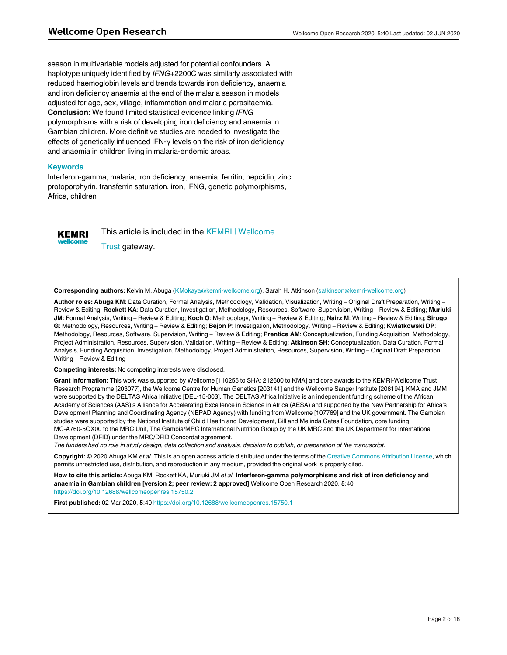season in multivariable models adjusted for potential confounders. A haplotype uniquely identified by *IFNG*+2200C was similarly associated with reduced haemoglobin levels and trends towards iron deficiency, anaemia and iron deficiency anaemia at the end of the malaria season in models adjusted for age, sex, village, inflammation and malaria parasitaemia. **Conclusion:** We found limited statistical evidence linking *IFNG* polymorphisms with a risk of developing iron deficiency and anaemia in Gambian children. More definitive studies are needed to investigate the effects of genetically influenced IFN-γ levels on the risk of iron deficiency and anaemia in children living in malaria-endemic areas.

#### **Keywords**

Interferon-gamma, malaria, iron deficiency, anaemia, ferritin, hepcidin, zinc protoporphyrin, transferrin saturation, iron, IFNG, genetic polymorphisms, Africa, children



This article is included in the [KEMRI | Wellcome](https://wellcomeopenresearch.org/gateways/kemri) [Trust](https://wellcomeopenresearch.org/gateways/kemri) gateway.

**Corresponding authors:** Kelvin M. Abuga (KMokaya@kemri-wellcome.org), Sarah H. Atkinson (satkinson@kemri-wellcome.org)

**Author roles: Abuga KM**: Data Curation, Formal Analysis, Methodology, Validation, Visualization, Writing – Original Draft Preparation, Writing – Review & Editing; **Rockett KA**: Data Curation, Investigation, Methodology, Resources, Software, Supervision, Writing – Review & Editing; **Muriuki JM**: Formal Analysis, Writing – Review & Editing; **Koch O**: Methodology, Writing – Review & Editing; **Nairz M**: Writing – Review & Editing; **Sirugo G**: Methodology, Resources, Writing – Review & Editing; **Bejon P**: Investigation, Methodology, Writing – Review & Editing; **Kwiatkowski DP**: Methodology, Resources, Software, Supervision, Writing – Review & Editing; **Prentice AM**: Conceptualization, Funding Acquisition, Methodology, Project Administration, Resources, Supervision, Validation, Writing – Review & Editing; **Atkinson SH**: Conceptualization, Data Curation, Formal Analysis, Funding Acquisition, Investigation, Methodology, Project Administration, Resources, Supervision, Writing – Original Draft Preparation, Writing – Review & Editing

**Competing interests:** No competing interests were disclosed.

**Grant information:** This work was supported by Wellcome [110255 to SHA; 212600 to KMA] and core awards to the KEMRI-Wellcome Trust Research Programme [203077], the Wellcome Centre for Human Genetics [203141] and the Wellcome Sanger Institute [206194]. KMA and JMM were supported by the DELTAS Africa Initiative [DEL-15-003]. The DELTAS Africa Initiative is an independent funding scheme of the African Academy of Sciences (AAS)'s Alliance for Accelerating Excellence in Science in Africa (AESA) and supported by the New Partnership for Africa's Development Planning and Coordinating Agency (NEPAD Agency) with funding from Wellcome [107769] and the UK government. The Gambian studies were supported by the National Institute of Child Health and Development, Bill and Melinda Gates Foundation, core funding MC-A760-5QX00 to the MRC Unit, The Gambia/MRC International Nutrition Group by the UK MRC and the UK Department for International Development (DFID) under the MRC/DFID Concordat agreement.

*The funders had no role in study design, data collection and analysis, decision to publish, or preparation of the manuscript.*

**Copyright:** © 2020 Abuga KM *et al*. This is an open access article distributed under the terms of the [Creative Commons Attribution License](http://creativecommons.org/licenses/by/4.0/), which permits unrestricted use, distribution, and reproduction in any medium, provided the original work is properly cited.

**How to cite this article:** Abuga KM, Rockett KA, Muriuki JM *et al.* **Interferon-gamma polymorphisms and risk of iron deficiency and anaemia in Gambian children [version 2; peer review: 2 approved]** Wellcome Open Research 2020, **5**:40 <https://doi.org/10.12688/wellcomeopenres.15750.2>

**First published:** 02 Mar 2020, **5**:40<https://doi.org/10.12688/wellcomeopenres.15750.1>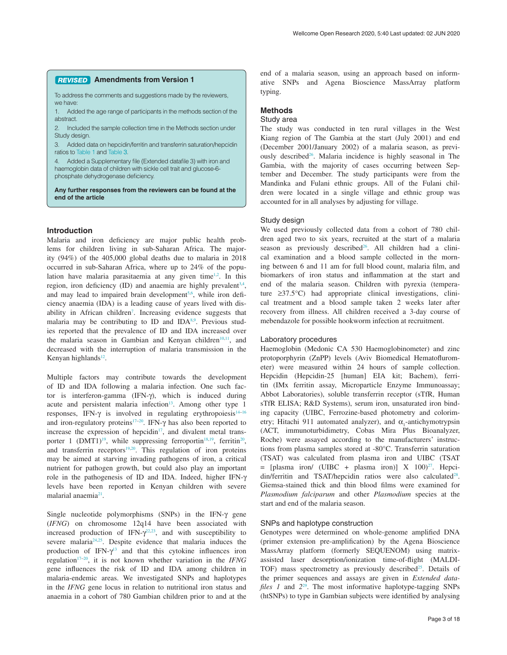#### **Amendments from Version 1** *REVISED*

To address the comments and suggestions made by the reviewers, we have:

1. Added the age range of participants in the methods section of the abstract.

2. Included the sample collection time in the Methods section under Study design.

3. Added data on hepcidin/ferritin and transferrin saturation/hepcidin ratios to [Table 1](#page-4-0) and Table 3.

4. Added a Supplementary file (Extended datafile 3) with iron and haemoglobin data of children with sickle cell trait and glucose-6 phosphate dehydrogenase deficiency.

**Any further responses from the reviewers can be found at the end of the article**

#### **Introduction**

Malaria and iron deficiency are major public health problems for children living in sub-Saharan Africa. The majority (94%) of the 405,000 global deaths due to malaria in 2018 occurred in sub-Saharan Africa, where up to 24% of the popu-lation have malaria parasitaemia at any given time<sup>[1,2](#page-9-0)</sup>. In this region, iron deficiency (ID) and anaemia are highly prevalent<sup>[3,4](#page-9-0)</sup>, and may lead to impaired brain development<sup>5,6</sup>, while iron deficiency anaemia (IDA) is a leading cause of years lived with dis-ability in African children<sup>[7](#page-9-0)</sup>. Increasing evidence suggests that malaria may be contributing to ID and IDA<sup>8,9</sup>. Previous studies reported that the prevalence of ID and IDA increased over the malaria season in Gambian and Kenyan children<sup>10,11</sup>, and decreased with the interruption of malaria transmission in the Kenyan highlands<sup>12</sup>.

Multiple factors may contribute towards the development of ID and IDA following a malaria infection. One such factor is interferon-gamma (IFN-γ), which is induced during acute and persistent malaria infection<sup>13</sup>. Among other type 1 responses, IFN- $\gamma$  is involved in regulating erythropoiesis<sup>14-16</sup> and iron-regulatory proteins[17–20](#page-9-0). IFN-γ has also been reported to increase the expression of hepcidin $17$ , and divalent metal transporter 1 (DMT1)<sup>19</sup>, while suppressing ferroportin<sup>18,19</sup>, ferritin<sup>20</sup>, and transferrin receptors<sup>[19,20](#page-9-0)</sup>. This regulation of iron proteins may be aimed at starving invading pathogens of iron, a critical nutrient for pathogen growth, but could also play an important role in the pathogenesis of ID and IDA. Indeed, higher IFN-γ levels have been reported in Kenyan children with severe malarial anaemia<sup>21</sup>.

Single nucleotide polymorphisms (SNPs) in the IFN-γ gene (*IFNG*) on chromosome 12q14 have been associated with increased production of IFN- $\gamma^{22,23}$ , and with susceptibility to severe malaria $24,25$ . Despite evidence that malaria induces the production of IFN- $\gamma$ <sup>[13](#page-9-0)</sup> and that this cytokine influences iron regulatio[n17–20](#page-9-0), it is not known whether variation in the *IFNG* gene influences the risk of ID and IDA among children in malaria-endemic areas. We investigated SNPs and haplotypes in the *IFNG* gene locus in relation to nutritional iron status and anaemia in a cohort of 780 Gambian children prior to and at the end of a malaria season, using an approach based on informative SNPs and Agena Bioscience MassArray platform typing.

### **Methods**

#### Study area

The study was conducted in ten rural villages in the West Kiang region of The Gambia at the start (July 2001) and end (December 2001/January 2002) of a malaria season, as previously described<sup>26</sup>. Malaria incidence is highly seasonal in The Gambia, with the majority of cases occurring between September and December. The study participants were from the Mandinka and Fulani ethnic groups. All of the Fulani children were located in a single village and ethnic group was accounted for in all analyses by adjusting for village.

## Study design

We used previously collected data from a cohort of 780 children aged two to six years, recruited at the start of a malaria season as previously described<sup>26</sup>. All children had a clinical examination and a blood sample collected in the morning between 6 and 11 am for full blood count, malaria film, and biomarkers of iron status and inflammation at the start and end of the malaria season. Children with pyrexia (temperature ≥37.5°C) had appropriate clinical investigations, clinical treatment and a blood sample taken 2 weeks later after recovery from illness. All children received a 3-day course of mebendazole for possible hookworm infection at recruitment.

#### Laboratory procedures

Haemoglobin (Medonic CA 530 Haemoglobinometer) and zinc protoporphyrin (ZnPP) levels (Aviv Biomedical Hematoflurometer) were measured within 24 hours of sample collection. Hepcidin (Hepcidin-25 [human] EIA kit; Bachem), ferritin (IMx ferritin assay, Microparticle Enzyme Immunoassay; Abbot Laboratories), soluble transferrin receptor (sTfR, Human sTfR ELISA; R&D Systems), serum iron, unsaturated iron binding capacity (UIBC, Ferrozine-based photometry and colorimetry; Hitachi 911 automated analyzer), and  $\alpha$ <sub>1</sub>-antichymotrypsin (ACT, immunoturbidimetry, Cobas Mira Plus Bioanalyzer, Roche) were assayed according to the manufacturers' instructions from plasma samples stored at -80°C. Transferrin saturation (TSAT) was calculated from plasma iron and UIBC (TSAT  $=$  [plasma iron/ (UIBC + plasma iron)] X 100)<sup>[27](#page-9-0)</sup>. Hepcidin/ferritin and TSAT/hepcidin ratios were also calculated<sup>28</sup>. Giemsa-stained thick and thin blood films were examined for *Plasmodium falciparum* and other *Plasmodium* species at the start and end of the malaria season.

#### SNPs and haplotype construction

Genotypes were determined on whole-genome amplified DNA (primer extension pre-amplification) by the Agena Bioscience MassArray platform (formerly SEQUENOM) using matrixassisted laser desorption/ionization time-of-flight (MALDI-TOF) mass spectrometry as previously described<sup>[25](#page-9-0)</sup>. Details of the primer sequences and assays are given in *Extended datafiles 1* and *2*[29.](#page-9-0) The most informative haplotype-tagging SNPs (htSNPs) to type in Gambian subjects were identified by analysing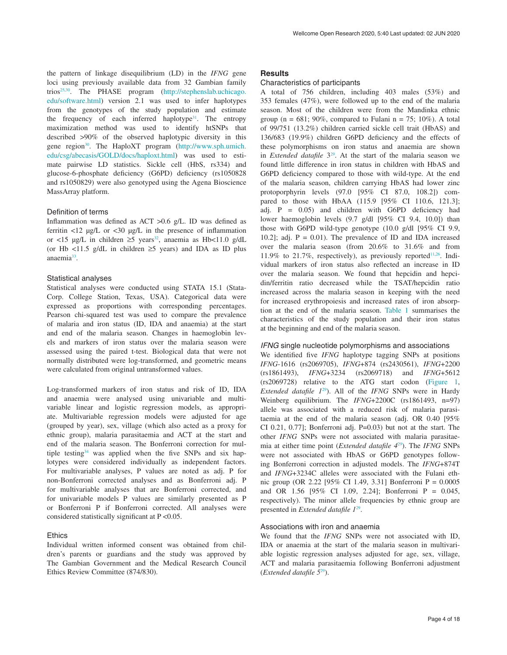the pattern of linkage disequilibrium (LD) in the *IFNG* gene loci using previously available data from 32 Gambian family trios<sup>25,30</sup>. The PHASE program ([http://stephenslab.uchicago.](http://stephenslab.uchicago.edu/software.html) [edu/software.html\)](http://stephenslab.uchicago.edu/software.html) version 2.1 was used to infer haplotypes from the genotypes of the study population and estimate the frequency of each inferred haplotype<sup>31</sup>. The entropy maximization method was used to identify htSNPs that described >90% of the observed haplotypic diversity in this gene region<sup>30</sup>. The HaploXT program [\(http://www.sph.umich.](http://www.sph.umich.edu/csg/abecasis/GOLD/docs/haploxt.html) [edu/csg/abecasis/GOLD/docs/haploxt.html](http://www.sph.umich.edu/csg/abecasis/GOLD/docs/haploxt.html)) was used to estimate pairwise LD statistics. Sickle cell (HbS, rs334) and glucose-6-phosphate deficiency (G6PD) deficiency (rs1050828 and rs1050829) were also genotyped using the Agena Bioscience MassArray platform.

## Definition of terms

Inflammation was defined as ACT >0.6 g/L. ID was defined as ferritin <12 µg/L or <30 µg/L in the presence of inflammation or <15 µg/L in children ≥5 years<sup>32</sup>, anaemia as Hb<11.0 g/dL (or Hb <11.5 g/dL in children  $\geq$ 5 years) and IDA as ID plus anaemia<sup>33</sup>.

#### Statistical analyses

Statistical analyses were conducted using STATA 15.1 (Stata-Corp. College Station, Texas, USA). Categorical data were expressed as proportions with corresponding percentages. Pearson chi-squared test was used to compare the prevalence of malaria and iron status (ID, IDA and anaemia) at the start and end of the malaria season. Changes in haemoglobin levels and markers of iron status over the malaria season were assessed using the paired t-test. Biological data that were not normally distributed were log-transformed, and geometric means were calculated from original untransformed values.

Log-transformed markers of iron status and risk of ID, IDA and anaemia were analysed using univariable and multivariable linear and logistic regression models, as appropriate. Multivariable regression models were adjusted for age (grouped by year), sex, village (which also acted as a proxy for ethnic group), malaria parasitaemia and ACT at the start and end of the malaria season. The Bonferroni correction for multiple testing[34](#page-10-0) was applied when the five SNPs and six haplotypes were considered individually as independent factors. For multivariable analyses, P values are noted as adj. P for non-Bonferroni corrected analyses and as Bonferroni adj. P for multivariable analyses that are Bonferroni corrected, and for univariable models P values are similarly presented as P or Bonferroni P if Bonferroni corrected. All analyses were considered statistically significant at P <0.05.

## Ethics

Individual written informed consent was obtained from children's parents or guardians and the study was approved by The Gambian Government and the Medical Research Council Ethics Review Committee (874/830).

#### **Results**

### Characteristics of participants

A total of 756 children, including 403 males (53%) and 353 females (47%), were followed up to the end of the malaria season. Most of the children were from the Mandinka ethnic group ( $n = 681$ ; 90%, compared to Fulani  $n = 75$ ; 10%). A total of 99/751 (13.2%) children carried sickle cell trait (HbAS) and 136/683 (19.9%) children G6PD deficiency and the effects of these polymorphisms on iron status and anaemia are shown in *Extended datafile* 3<sup>29</sup>. At the start of the malaria season we found little difference in iron status in children with HbAS and G6PD deficiency compared to those with wild-type. At the end of the malaria season, children carrying HbAS had lower zinc protoporphyrin levels (97.0 [95% CI 87.0, 108.2]) compared to those with HbAA (115.9 [95% CI 110.6, 121.3]; adj. P = 0.05) and children with G6PD deficiency had lower haemoglobin levels (9.7 g/dl [95% CI 9.4, 10.0]) than those with G6PD wild-type genotype (10.0 g/dl [95% CI 9.9, 10.2]; adj.  $P = 0.01$ . The prevalence of ID and IDA increased over the malaria season (from 20.6% to 31.6% and from 11.9% to 21.7%, respectively), as previously reported<sup>11,26</sup>. Individual markers of iron status also reflected an increase in ID over the malaria season. We found that hepcidin and hepcidin/ferritin ratio decreased while the TSAT/hepcidin ratio increased across the malaria season in keeping with the need for increased erythropoiesis and increased rates of iron absorption at the end of the malaria season. [Table 1](#page-4-0) summarises the characteristics of the study population and their iron status at the beginning and end of the malaria season.

#### *IFNG* single nucleotide polymorphisms and associations

We identified five *IFNG* haplotype tagging SNPs at positions *IFNG*-1616 (rs2069705), *IFNG*+874 (rs2430561), *IFNG*+2200 (rs1861493), *IFNG*+3234 (rs2069718) and *IFNG*+5612 (rs2069728) relative to the ATG start codon [\(Figure 1](#page-4-0), *Extended datafile 1*[29](#page-9-0)). All of the *IFNG* SNPs were in Hardy Weinberg equilibrium. The *IFNG*+2200C (rs1861493, n=97) allele was associated with a reduced risk of malaria parasitaemia at the end of the malaria season (adj. OR 0.40 [95% CI 0.21, 0.77]; Bonferroni adj. P=0.03) but not at the start. The other *IFNG* SNPs were not associated with malaria parasitaemia at either time point (*Extended datafile 4*[29\)](#page-9-0). The *IFNG* SNPs were not associated with HbAS or G6PD genotypes following Bonferroni correction in adjusted models. The *IFNG*+874T and *IFNG*+3234C alleles were associated with the Fulani ethnic group (OR 2.22 [95% CI 1.49, 3.31] Bonferroni P = 0.0005 and OR 1.56 [95% CI 1.09, 2.24]; Bonferroni P = 0.045, respectively). The minor allele frequencies by ethnic group are presented in *Extended datafile 1*[29](#page-9-0).

#### Associations with iron and anaemia

We found that the *IFNG* SNPs were not associated with ID, IDA or anaemia at the start of the malaria season in multivariable logistic regression analyses adjusted for age, sex, village, ACT and malaria parasitaemia following Bonferroni adjustment (*Extended datafile 5*[29](#page-9-0)).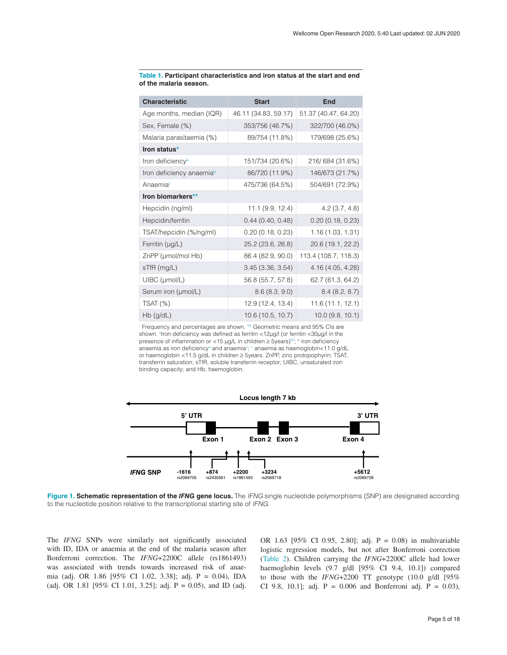| <b>Characteristic</b>                | <b>Start</b>         | <b>End</b>           |
|--------------------------------------|----------------------|----------------------|
| Age months, median (IQR)             | 46.11 (34.83, 59.17) | 51.37 (40.47, 64.20) |
| Sex, Female (%)                      | 353/756 (46.7%)      | 322/700 (46.0%)      |
| Malaria parasitaemia (%)             | 89/754 (11.8%)       | 179/698 (25.6%)      |
| Iron status*                         |                      |                      |
| Iron deficiency <sup>a</sup>         | 151/734 (20.6%)      | 216/684 (31.6%)      |
| Iron deficiency anaemia <sup>b</sup> | 86/720 (11.9%)       | 146/673 (21.7%)      |
| Anaemiac                             | 475/736 (64.5%)      | 504/691 (72.9%)      |
| Iron biomarkers**                    |                      |                      |
| Hepcidin (ng/ml)                     | 11.1(9.9, 12.4)      | $4.2$ (3.7, 4.8)     |
| Hepcidin/ferritin                    | 0.44(0.40, 0.48)     | 0.20(0.18, 0.23)     |
| TSAT/hepcidin (%/ng/ml)              | 0.20(0.18, 0.23)     | 1.16(1.03, 1.31)     |
| Ferritin $(\mu g/L)$                 | 25.2 (23.6, 26.8)    | 20.6 (19.1, 22.2)    |
| ZnPP (µmol/mol Hb)                   | 86.4 (82.9, 90.0)    | 113.4 (108.7, 118.3) |
| $sTfR$ (mg/L)                        | 3.45(3.36, 3.54)     | 4.16 (4.05, 4.28)    |
| $U\text{IBC}$ ( $\mu$ mol/L)         | 56.8 (55.7, 57.8)    | 62.7 (61.3, 64.2)    |
| Serum iron (µmol/L)                  | 8.6(8.3, 9.0)        | 8.4(8.2, 8.7)        |
| $TSAT$ $(\%)$                        | 12.9 (12.4, 13.4)    | 11.6(11.1, 12.1)     |
| $Hb$ (g/dL)                          | 10.6(10.5, 10.7)     | 10.0(9.8, 10.1)      |

<span id="page-4-0"></span>**Table 1. Participant characteristics and iron status at the start and end of the malaria season.**

\* Frequency and percentages are shown. \*\* Geometric means and 95% CIs are shown. alron deficiency was defined as ferritin <12µg/l (or ferritin <30µg/l in the presence of inflammation or <15 µg/L in children  $\geq$  5years)<sup>32</sup>; <sup>b</sup> iron deficiency anaemia as iron deficiency<sup>a</sup> and anaemia<sup>c</sup>; c anaemia as haemoglobin<11.0 g/dL or haemoglobin <11.5 g/dL in children ≥ 5years. ZnPP, zinc protopophyrin; TSAT, transferrin saturation; sTfR, soluble transferrin receptor; UIBC, unsaturated iron binding capacity; and Hb, haemoglobin.



**Figure 1. Schematic representation of the** *IFNG* **gene locus.** The *IFNG* single nucleotide polymorphisms (SNP) are designated according to the nucleotide position relative to the transcriptional starting site of *IFNG*.

The *IFNG* SNPs were similarly not significantly associated with ID, IDA or anaemia at the end of the malaria season after Bonferroni correction. The *IFNG*+2200C allele (rs1861493) was associated with trends towards increased risk of anaemia (adj. OR 1.86 [95% CI 1.02, 3.38]; adj. P = 0.04), IDA (adj. OR 1.81 [95% CI 1.01, 3.25]; adj. P = 0.05), and ID (adj. OR 1.63 [95% CI 0.95, 2.80]; adj. P = 0.08) in multivariable logistic regression models, but not after Bonferroni correction ([Table 2](#page-5-0)). Children carrying the *IFNG*+2200C allele had lower haemoglobin levels (9.7 g/dl [95% CI 9.4, 10.1]) compared to those with the *IFNG*+2200 TT genotype (10.0 g/dl [95% CI 9.8, 10.1]; adj.  $P = 0.006$  and Bonferroni adj.  $P = 0.03$ ),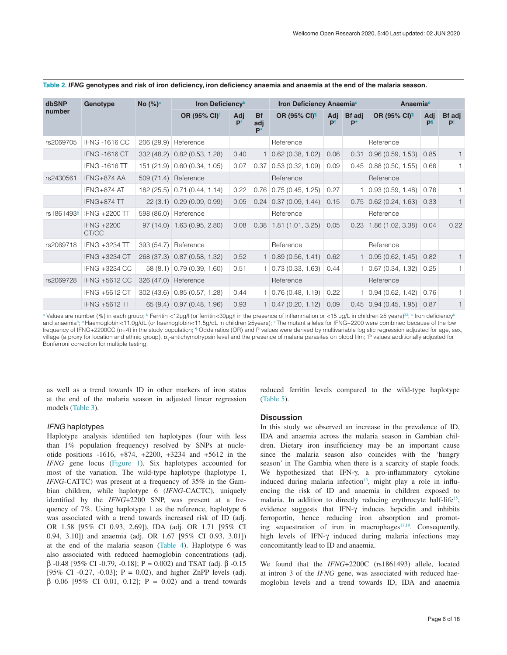| <b>dbSNP</b>           | Genotype             | No $(%)^a$ | Iron Deficiency <sup>b</sup> |           |                           | Iron Deficiency Anaemia <sup>c</sup> |                       |                     | Anaemiad                               |      |              |
|------------------------|----------------------|------------|------------------------------|-----------|---------------------------|--------------------------------------|-----------------------|---------------------|----------------------------------------|------|--------------|
| number                 |                      |            | OR (95% CI) <sup>f</sup>     | Adj<br>Pf | <b>Bf</b><br>adj<br>$P^*$ | OR (95% CI) <sup>1</sup>             | Adj<br>P <sup>1</sup> | <b>Bf</b> adj<br>P* | OR (95% CI) <sup>1</sup>               | Adj  | Bf adj<br>P. |
| rs2069705              | <b>IFNG -1616 CC</b> |            | 206 (29.9) Reference         |           |                           | Reference                            |                       |                     | Reference                              |      |              |
|                        | <b>IFNG -1616 CT</b> |            | 332 (48.2) 0.82 (0.53, 1.28) | 0.40      |                           | $1 \mid 0.62 \ (0.38, 1.02)$         | 0.06                  | 0.31                | $0.96(0.59, 1.53)$ 0.85                |      | $\mathbf{1}$ |
|                        | <b>IFNG -1616 TT</b> |            | 151 (21.9) 0.60 (0.34, 1.05) | 0.07      | 0.37                      | 0.53(0.32, 1.09)                     | 0.09                  |                     | $0.45 \mid 0.88 \ (0.50, 1.55)$        | 0.66 | $\mathbf{1}$ |
| rs2430561              | IFNG+874 AA          |            | 509 (71.4) Reference         |           |                           | Reference                            |                       |                     | Reference                              |      |              |
|                        | IFNG+874 AT          |            | 182 (25.5) 0.71 (0.44, 1.14) | 0.22      |                           | $0.76$ 0.75 (0.45, 1.25)             | 0.27                  |                     | $1 \mid 0.93 \ (0.59, 1.48) \mid$      | 0.76 | $\mathbf{1}$ |
|                        | IFNG+874 TT          |            | 22 (3.1) 0.29 (0.09, 0.99)   | 0.05      |                           | $0.24$ 0.37 (0.09, 1.44)             | 0.15                  |                     | $0.75$ 0.62 (0.24, 1.63) 0.33          |      | $\mathbf{1}$ |
| rs1861493 <sup>e</sup> | IFNG +2200 TT        |            | 598 (86.0) Reference         |           |                           | Reference                            |                       |                     | Reference                              |      |              |
|                        | IFNG +2200<br>CT/CC  |            | 97 (14.0) 1.63 (0.95, 2.80)  | 0.08      |                           | $0.38$ 1.81 (1.01, 3.25) 0.05        |                       |                     | $0.23$ 1.86 (1.02, 3.38) 0.04          |      | 0.22         |
| rs2069718              | IFNG +3234 TT        | 393(54.7)  | Reference                    |           |                           | Reference                            |                       |                     | Reference                              |      |              |
|                        | IFNG +3234 CT        |            | 268 (37.3) 0.87 (0.58, 1.32) | 0.52      |                           | $1 \mid 0.89 \ (0.56, 1.41) \mid$    | 0.62                  |                     | $1 \mid 0.95 \ (0.62, 1.45) \mid 0.82$ |      | $\mathbf{1}$ |
|                        | IFNG +3234 CC        |            | $58(8.1)$ 0.79 (0.39, 1.60)  | 0.51      |                           | $1 \mid 0.73 \ (0.33, 1.63) \mid$    | 0.44                  |                     | $1 \mid 0.67 \; (0.34, 1.32) \mid$     | 0.25 | $\mathbf{1}$ |
| rs2069728              | <b>IFNG +5612 CC</b> |            | 326 (47.0) Reference         |           |                           | Reference                            |                       |                     | Reference                              |      |              |
|                        | IFNG +5612 CT        |            | 302 (43.6) 0.85 (0.57, 1.28) | 0.44      |                           | $1 \mid 0.76 \ (0.48, 1.19) \mid$    | 0.22                  |                     | $1 \mid 0.94 \ (0.62, 1.42) \mid$      | 0.76 | 1.           |
|                        | <b>IFNG +5612 TT</b> |            | 65 (9.4) 0.97 (0.48, 1.96)   | 0.93      |                           | $1 \mid 0.47 \; (0.20, 1.12) \mid$   | 0.09                  |                     | $0.45$ 0.94 (0.45, 1.95)               | 0.87 | $\mathbf{1}$ |

#### <span id="page-5-0"></span>Table 2. IFNG genotypes and risk of iron deficiency, iron deficiency anaemia and anaemia at the end of the malaria season.

a Values are number (%) in each group; <sup>b</sup> Ferritin <12µg/l (or ferritin<30µg/l in the presence of inflammation or <15 µg/L in children ≥5 years)<sup>32</sup>; <sup>c</sup> Iron deficiency<sup>E</sup> and anaemia<sup>d</sup>; <sup>d</sup> Haemoglobin<11.0g/dL (or haemoglobin<11.5g/dL in children ≥5years); <sup>e</sup> The mutant alleles for IFNG+2200 were combined because of the low frequency of IFNG+2200CC (n=4) in the study population; <sup>1</sup> Odds ratios (OR) and P values were derived by multivariable logistic regression adjusted for age, sex, village (a proxy for location and ethnic group), α<sub>τ</sub>-antichymotrypsin level and the presence of malaria parasites on blood film; P values additionally adjusted for Bonferroni correction for multiple testing.

as well as a trend towards ID in other markers of iron status at the end of the malaria season in adjusted linear regression models ([Table 3](#page-6-0)).

#### *IFNG* haplotypes

Haplotype analysis identified ten haplotypes (four with less than 1% population frequency) resolved by SNPs at nucleotide positions -1616, +874, +2200, +3234 and +5612 in the *IFNG* gene locus [\(Figure 1](#page-4-0)). Six haplotypes accounted for most of the variation. The wild-type haplotype (haplotype 1, *IFNG*-CATTC) was present at a frequency of 35% in the Gambian children, while haplotype 6 (*IFNG*-CACTC), uniquely identified by the *IFNG*+2200 SNP, was present at a frequency of 7%. Using haplotype 1 as the reference, haplotype 6 was associated with a trend towards increased risk of ID (adj. OR 1.58 [95% CI 0.93, 2.69]), IDA (adj. OR 1.71 [95% CI 0.94, 3.10]) and anaemia (adj. OR 1.67 [95% CI 0.93, 3.01]) at the end of the malaria season ([Table 4](#page-6-0)). Haplotype 6 was also associated with reduced haemoglobin concentrations (adj. β -0.48 [95% CI -0.79, -0.18]; P = 0.002) and TSAT (adj. β -0.15 [95% CI -0.27, -0.03];  $P = 0.02$ ), and higher ZnPP levels (adj. β 0.06 [95% CI 0.01, 0.12]; P = 0.02) and a trend towards

reduced ferritin levels compared to the wild-type haplotype [\(Table 5](#page-7-0)).

#### **Discussion**

In this study we observed an increase in the prevalence of ID, IDA and anaemia across the malaria season in Gambian children. Dietary iron insufficiency may be an important cause since the malaria season also coincides with the 'hungry season' in The Gambia when there is a scarcity of staple foods. We hypothesized that IFN-γ, a pro-inflammatory cytokine induced during malaria infection $13$ , might play a role in influencing the risk of ID and anaemia in children exposed to malaria. In addition to directly reducing erythrocyte half-life<sup>[15](#page-9-0)</sup>, evidence suggests that IFN- $\gamma$  induces hepcidin and inhibits ferroportin, hence reducing iron absorption and promot-ing sequestration of iron in macrophages<sup>[17,19](#page-9-0)</sup>. Consequently, high levels of IFN-γ induced during malaria infections may concomitantly lead to ID and anaemia.

We found that the *IFNG*+2200C (rs1861493) allele, located at intron 3 of the *IFNG* gene, was associated with reduced haemoglobin levels and a trend towards ID, IDA and anaemia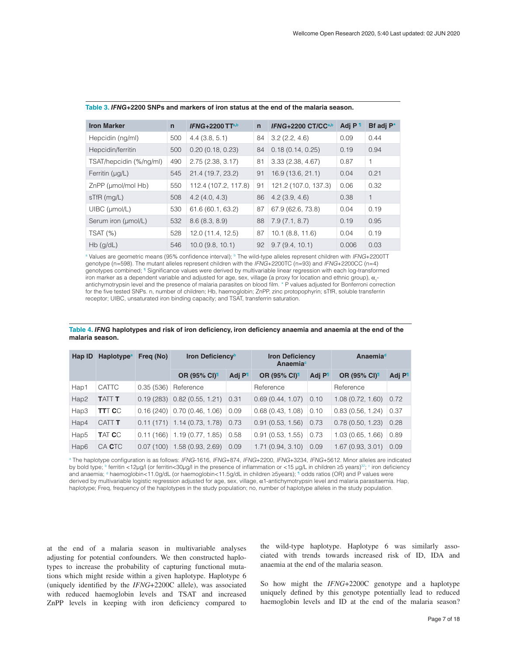| <b>Iron Marker</b>           | $\mathbf n$ | IFNG+2200 $TTa,b$    | $\mathsf{n}$ | IFNG+2200 CT/CCa,b   | Adj P 1 | Bf adj P <sup>*</sup> |
|------------------------------|-------------|----------------------|--------------|----------------------|---------|-----------------------|
| Hepcidin (ng/ml)             | 500         | 4.4(3.8, 5.1)        | 84           | 3.2(2.2, 4.6)        | 0.09    | 0.44                  |
| Hepcidin/ferritin            | 500         | 0.20(0.18, 0.23)     | 84           | 0.18(0.14, 0.25)     | 0.19    | 0.94                  |
| TSAT/hepcidin (%/ng/ml)      | 490         | 2.75(2.38, 3.17)     | 81           | 3.33(2.38, 4.67)     | 0.87    | $\mathbf{1}$          |
| Ferritin $(\mu g/L)$         | 545         | 21.4 (19.7, 23.2)    | 91           | 16.9 (13.6, 21.1)    | 0.04    | 0.21                  |
| ZnPP (µmol/mol Hb)           | 550         | 112.4 (107.2, 117.8) | 91           | 121.2 (107.0, 137.3) | 0.06    | 0.32                  |
| $sTfR$ (mg/L)                | 508         | 4.2(4.0, 4.3)        | 86           | 4.2(3.9, 4.6)        | 0.38    | $\mathbf{1}$          |
| $U\text{IBC}$ ( $\mu$ mol/L) | 530         | 61.6 (60.1, 63.2)    | 87           | 67.9 (62.6, 73.8)    | 0.04    | 0.19                  |
| Serum iron (µmol/L)          | 532         | 8.6(8.3, 8.9)        | 88           | 7.9(7.1, 8.7)        | 0.19    | 0.95                  |
| $TSAT$ $(\%)$                | 528         | 12.0 (11.4, 12.5)    | 87           | 10.1(8.8, 11.6)      | 0.04    | 0.19                  |
| $Hb$ (g/dL)                  | 546         | $10.0$ (9.8, 10.1)   | 92           | 9.7(9.4, 10.1)       | 0.006   | 0.03                  |

## <span id="page-6-0"></span>**Table 3.** *IFNG***+2200 SNPs and markers of iron status at the end of the malaria season.**

<sup>a</sup> Values are geometric means (95% confidence interval); <sup>b</sup> The wild-type alleles represent children with *IFNG*+2200TT genotype (n=598). The mutant alleles represent children with the *IFNG*+2200TC (n=93) and *IFNG*+2200CC (n=4) genotypes combined; <sup>1</sup> Significance values were derived by multivariable linear regression with each log-transformed iron marker as a dependent variable and adjusted for age, sex, village (a proxy for location and ethnic group),  $\alpha_{\text{t}}$ antichymotrypsin level and the presence of malaria parasites on blood film. \* P values adjusted for Bonferroni correction for the five tested SNPs. n, number of children; Hb, haemoglobin; ZnPP, zinc protopophyrin; sTfR, soluble transferrin receptor; UIBC, unsaturated iron binding capacity; and TSAT, transferrin saturation.

| <b>Haplotype</b> <sup>a</sup><br>Hap ID |                   | Freq (No) | Iron Deficiency <sup>b</sup>   |                    | <b>Iron Deficiency</b><br>Anaemia <sup>c</sup> |                    | <b>Anaemia</b> <sup>d</sup> |                    |
|-----------------------------------------|-------------------|-----------|--------------------------------|--------------------|------------------------------------------------|--------------------|-----------------------------|--------------------|
|                                         |                   |           | <b>OR (95% CI)</b>             | Adj P <sup>1</sup> | OR (95% CI) <sup>1</sup>                       | Adj P <sup>1</sup> | <b>OR (95% CI)</b>          | Adj P <sup>1</sup> |
| Hap1                                    | <b>CATTC</b>      | 0.35(536) | Reference                      |                    | Reference                                      |                    | Reference                   |                    |
| Hap2                                    | <b>TATT T</b>     |           | $0.19(283)$ $0.82(0.55, 1.21)$ | 0.31               | 0.69(0.44, 1.07)                               | 0.10               | 1.08(0.72, 1.60)            | 0.72               |
| Hap3                                    | <b>TTT C</b> C    | 0.16(240) | 0.70(0.46, 1.06)               | 0.09               | 0.68(0.43, 1.08)                               | 0.10               | 0.83(0.56, 1.24)            | 0.37               |
| Hap4                                    | CATT <sub>T</sub> | 0.11(171) | 1.14 (0.73, 1.78)              | 0.73               | 0.91(0.53, 1.56)                               | 0.73               | 0.78(0.50, 1.23)            | 0.28               |
| Hap <sub>5</sub>                        | TAT <b>C</b> C    | 0.11(166) | 1.19(0.77, 1.85)               | 0.58               | 0.91(0.53, 1.55)                               | 0.73               | 1.03(0.65, 1.66)            | 0.89               |
| Hap6                                    | CA CTC            | 0.07(100) | 1.58(0.93, 2.69)               | 0.09               | 1.71(0.94, 3.10)                               | 0.09               | 1.67(0.93, 3.01)            | 0.09               |

#### Table 4. IFNG haplotypes and risk of iron deficiency, iron deficiency anaemia and anaemia at the end of the **malaria season.**

a The haplotype configuration is as follows: *IFNG*-1616, *IFNG*+874, *IFNG*+2200, *IFNG*+3234, *IFNG*+5612. Minor alleles are indicated by bold type; <sup>b</sup> ferritin <12μg/l (or ferritin<30μg/l in the presence of inflammation or <15 μg/L in children ≥5 years)<sup>32</sup>; <sup>c</sup> iron deficiency and anaemia; <sup>d</sup> haemoglobin<11.0g/dL (or haemoglobin<11.5g/dL in children ≥5years); <sup>¶</sup> odds ratios (OR) and P values were derived by multivariable logistic regression adjusted for age, sex, village, α1-antichymotrypsin level and malaria parasitaemia. Hap, haplotype; Freq, frequency of the haplotypes in the study population; no, number of haplotype alleles in the study population.

at the end of a malaria season in multivariable analyses adjusting for potential confounders. We then constructed haplotypes to increase the probability of capturing functional mutations which might reside within a given haplotype. Haplotype 6 (uniquely identified by the *IFNG*+2200C allele), was associated with reduced haemoglobin levels and TSAT and increased ZnPP levels in keeping with iron deficiency compared to

the wild-type haplotype. Haplotype 6 was similarly associated with trends towards increased risk of ID, IDA and anaemia at the end of the malaria season.

So how might the *IFNG*+2200C genotype and a haplotype uniquely defined by this genotype potentially lead to reduced haemoglobin levels and ID at the end of the malaria season?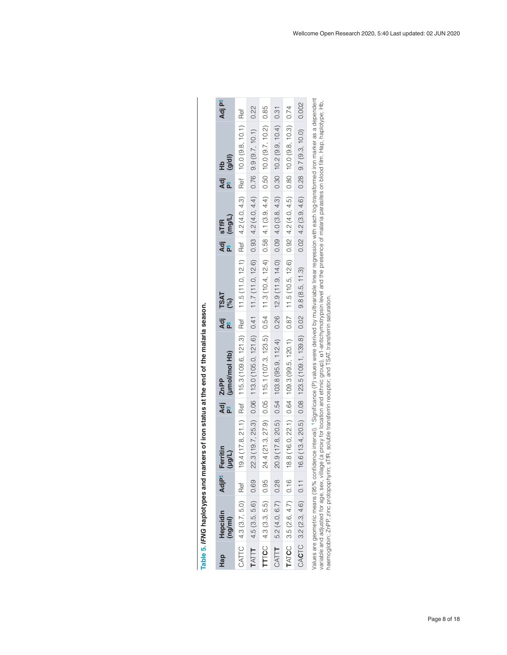<span id="page-7-0"></span>

| Hap          | Hepcidin<br>(ng/ml)           | <b>AdjP</b> <sup>1</sup> | Ferritin<br>(100L) | Adj | (µmol/mol Hb)<br>ZnPP                                                                                                                                                               | .<br>주<br>리 | TSAT<br>(%) | Adj sTfR<br>P <sup>11</sup> (mg/L) | aj<br>Al | 요<br>문의<br>연 | Adj P <sup>1</sup> |
|--------------|-------------------------------|--------------------------|--------------------|-----|-------------------------------------------------------------------------------------------------------------------------------------------------------------------------------------|-------------|-------------|------------------------------------|----------|--------------|--------------------|
|              | CATTC 4.3 (3.7, 5.0)          | Ref                      |                    |     | 19.4 (17.8, 21.1) Ref   115.3 (109.6, 121.3) Ref   11.5 (11.0, 12.1) Ref   4.2 (4.0, 4.3) Ref   10.0 (9.8, 10.1) Ref                                                                |             |             |                                    |          |              |                    |
| TATT         | 4.5(3.5, 5.6)                 | 0.69                     |                    |     | $22.3(19.7, 25.3) 0.06 113.0(105.0, 121.6) 0.41 11.7(11.0, 12.6) 0.99 4.2(4.0, 4.4) 0.76 9.9(9.7, 10.1) 0.22$                                                                       |             |             |                                    |          |              |                    |
|              | <b>TTICC</b> $ 4.3(3.3, 5.5)$ | 0.95                     |                    |     | 24.4 (21.3, 27.9) $0.05$   115.1 (107.3, 123.5) $0.54$   11.3 (10.4, 12.4) $0.58$   4.1 (3.9, 4.4) $0.50$   10.0 (9.7, 10.2)   0.85                                                 |             |             |                                    |          |              |                    |
| CATT         | 5.2(4.0, 6.7)                 | 0.28                     |                    |     | $20.9(17.8, 20.5)$ $0.54$ $103.8(95.9, 112.4)$ $0.26$ $14.9, 14.0)$ $0.09$ $4.0(3.8, 4.3)$ $0.30$ $10.2(9.9, 10.4)$ $0.31$                                                          |             |             |                                    |          |              |                    |
| <b>TATCC</b> | $3.5(2.6, 4.7)$ 0.16          |                          |                    |     | $18.8(16.0, 22.1)$ $0.64$ $10.99.1$ $0.99.5$ , $120.1$ $0.87$ $12.6$ $12.6$ $0.92$ $4.2$ $(4.2, 4.5)$ $0.80$ $10.0$ $(9.8, 10.3)$ $0.74$                                            |             |             |                                    |          |              |                    |
|              | CACTC 3.2 $(2.3, 4.6)$ 0.11   |                          |                    |     | 6.6 (13.4, 20.5) 0.08 123.5 (109.1, 139.8 0.02 9.8 (8.5, 11.3) 0.02 4.2 (3.9, 4.6) 0.28 9.7 (9.3, 10.0) 0.002                                                                       |             |             |                                    |          |              |                    |
|              |                               |                          |                    |     | Values are geometric means (95% confidence interval). "Significance (P) values were derived by multivariable linear regression with each log-transformed iron marker as a dependent |             |             |                                    |          |              |                    |

| $rac{1}{2}$                                  |
|----------------------------------------------|
|                                              |
|                                              |
|                                              |
|                                              |
| 5                                            |
|                                              |
| ;<br>;                                       |
|                                              |
|                                              |
|                                              |
| and markers of iron status at the end of the |
|                                              |
|                                              |
|                                              |
|                                              |
|                                              |
|                                              |
|                                              |
|                                              |
|                                              |
|                                              |
| i                                            |
|                                              |
|                                              |
|                                              |
|                                              |
|                                              |

vauce are geoment, means (30% commenter mervar), rogmitcation (1) vauces were derived by inuity and the pression will redire an ability, haplotype; Hb,<br>variable and adjusted for age, sex, village (a proxy for location and variable and adjusted for age, sex, village (a proxy for location and ethnic group), α1-antichymotrypsin level and the presence of malaria parasites on blood film. Hap, haplotype; Hb, haemoglobin; ZnPP, zinc protopophyrin; sTfR, soluble transferrin receptor; and TSAT, transferrin saturation.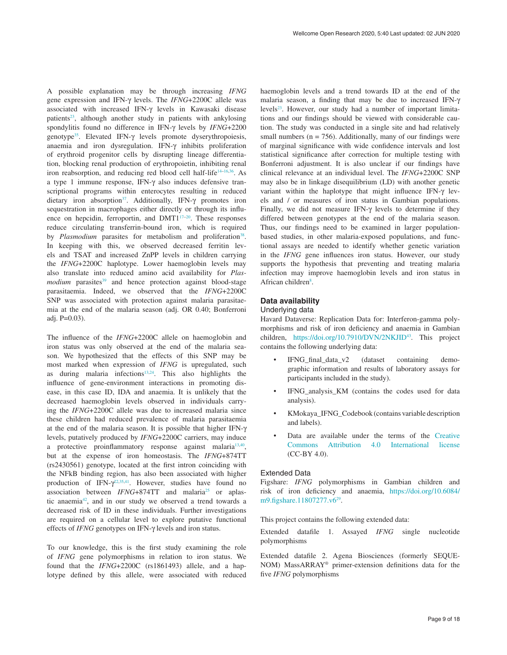A possible explanation may be through increasing *IFNG* gene expression and IFN-γ levels. The *IFNG*+2200C allele was associated with increased IFN-γ levels in Kawasaki disease patients<sup>23</sup>, although another study in patients with ankylosing spondylitis found no difference in IFN-γ levels by *IFNG*+2200 genotype[35.](#page-10-0) Elevated IFN-γ levels promote dyserythropoiesis, anaemia and iron dysregulation. IFN-γ inhibits proliferation of erythroid progenitor cells by disrupting lineage differentiation, blocking renal production of erythropoietin, inhibiting renal iron reabsorption, and reducing red blood cell half-life<sup>[14–16,](#page-9-0)[36](#page-10-0)</sup>. As a type 1 immune response, IFN-γ also induces defensive transcriptional programs within enterocytes resulting in reduced dietary iron absorption<sup>37</sup>. Additionally, IFN-γ promotes iron sequestration in macrophages either directly or through its influence on hepcidin, ferroportin, and DMT1<sup>17-20</sup>. These responses reduce circulating transferrin-bound iron, which is required by *Plasmodium* parasites for metabolism and proliferation<sup>38</sup>. In keeping with this, we observed decreased ferritin levels and TSAT and increased ZnPP levels in children carrying the *IFNG*+2200C haplotype. Lower haemoglobin levels may also translate into reduced amino acid availability for *Plasmodium* parasites<sup>39</sup> and hence protection against blood-stage parasitaemia. Indeed, we observed that the *IFNG*+2200C SNP was associated with protection against malaria parasitaemia at the end of the malaria season (adj. OR 0.40; Bonferroni adj. P=0.03).

The influence of the *IFNG*+2200C allele on haemoglobin and iron status was only observed at the end of the malaria season. We hypothesized that the effects of this SNP may be most marked when expression of *IFNG* is upregulated, such as during malaria infections<sup>13,[24](#page-9-0)</sup>. This also highlights the influence of gene-environment interactions in promoting disease, in this case ID, IDA and anaemia. It is unlikely that the decreased haemoglobin levels observed in individuals carrying the *IFNG*+2200C allele was due to increased malaria since these children had reduced prevalence of malaria parasitaemia at the end of the malaria season. It is possible that higher IFN-γ levels, putatively produced by *IFNG*+2200C carriers, may induce a protective proinflammatory response against malaria<sup>[13,](#page-9-0)[40](#page-10-0)</sup>, but at the expense of iron homeostasis. The *IFNG*+874TT (rs2430561) genotype, located at the first intron coinciding with the NFkB binding region, has also been associated with higher production of IFN- $\gamma^{22,35,41}$  $\gamma^{22,35,41}$  $\gamma^{22,35,41}$  $\gamma^{22,35,41}$ . However, studies have found no association between *IFNG*+874TT and malaria<sup>25</sup> or aplastic anaemia[42](#page-10-0), and in our study we observed a trend towards a decreased risk of ID in these individuals. Further investigations are required on a cellular level to explore putative functional effects of *IFNG* genotypes on IFN-γ levels and iron status.

To our knowledge, this is the first study examining the role of *IFNG* gene polymorphisms in relation to iron status. We found that the *IFNG*+2200C (rs1861493) allele, and a haplotype defined by this allele, were associated with reduced haemoglobin levels and a trend towards ID at the end of the malaria season, a finding that may be due to increased IFN-γ levels<sup>23</sup>. However, our study had a number of important limitations and our findings should be viewed with considerable caution. The study was conducted in a single site and had relatively small numbers ( $n = 756$ ). Additionally, many of our findings were of marginal significance with wide confidence intervals and lost statistical significance after correction for multiple testing with Bonferroni adjustment. It is also unclear if our findings have clinical relevance at an individual level. The *IFNG*+2200C SNP may also be in linkage disequilibrium (LD) with another genetic variant within the haplotype that might influence IFN-γ levels and / or measures of iron status in Gambian populations. Finally, we did not measure IFN-γ levels to determine if they differed between genotypes at the end of the malaria season. Thus, our findings need to be examined in larger populationbased studies, in other malaria-exposed populations, and functional assays are needed to identify whether genetic variation in the *IFNG* gene influences iron status. However, our study supports the hypothesis that preventing and treating malaria infection may improve haemoglobin levels and iron status in African children<sup>[8](#page-9-0)</sup>.

## **Data availability**

## Underlying data

Havard Dataverse: Replication Data for: Interferon-gamma polymorphisms and risk of iron deficiency and anaemia in Gambian children, <https://doi.org/10.7910/DVN/2NKJID>[43.](#page-10-0) This project contains the following underlying data:

- IFNG\_final\_data\_v2 (dataset containing demographic information and results of laboratory assays for participants included in the study).
- IFNG\_analysis\_KM (contains the codes used for data analysis).
- KMokaya\_IFNG\_Codebook (contains variable description and labels).
- Data are available under the terms of the Creative [Commons Attribution 4.0 International license](https://creativecommons.org/licenses/by/4.0/legalcode) (CC-BY 4.0).

#### Extended Data

Figshare: *IFNG* polymorphisms in Gambian children and risk of iron deficiency and anaemia, [https://doi.org/10.6084/](https://doi.org/10.6084/m9.figshare.11807277.v6) [m9.figshare.11807277.v6](https://doi.org/10.6084/m9.figshare.11807277.v6)<sup>29</sup>.

This project contains the following extended data:

Extended datafile 1. Assayed *IFNG* single nucleotide polymorphisms

Extended datafile 2. Agena Biosciences (formerly SEQUE-NOM) MassARRAY® primer-extension definitions data for the five *IFNG* polymorphisms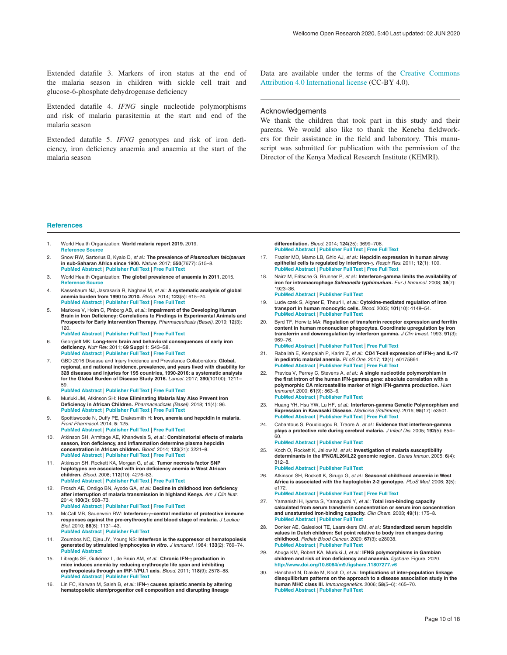<span id="page-9-0"></span>Extended datafile 3. Markers of iron status at the end of the malaria season in children with sickle cell trait and glucose-6-phosphate dehydrogenase deficiency

Extended datafile 4. *IFNG* single nucleotide polymorphisms and risk of malaria parasitemia at the start and end of the malaria season

Extended datafile 5. *IFNG* genotypes and risk of iron deficiency, iron deficiency anaemia and anaemia at the start of the malaria season

Data are available under the terms of the [Creative Commons](https://creativecommons.org/licenses/by/4.0/legalcode)  [Attribution 4.0 International license](https://creativecommons.org/licenses/by/4.0/legalcode) (CC-BY 4.0).

#### Acknowledgements

We thank the children that took part in this study and their parents. We would also like to thank the Keneba fieldworkers for their assistance in the field and laboratory. This manuscript was submitted for publication with the permission of the Director of the Kenya Medical Research Institute (KEMRI).

#### **References**

- 1. World Health Organization: **World malaria report 2019.** 2019. **[Reference](https://apps.who.int/iris/rest/bitstreams/1262394/retrieve) Source**
- 2. Snow RW, Sartorius B, Kyalo D, *et al.*: **The prevalence of** *Plasmodium falciparum* in sub-Saharan Africa since 1900. *Nature.* 2017; 550(7677): 515–8.<br><mark>PubMed [Abstract](http://www.ncbi.nlm.nih.gov/pubmed/29019978) | [Publisher](http://dx.doi.org/10.1038/nature24059) Full Text | [Free](http://www.ncbi.nlm.nih.gov/pmc/articles/5660624) Full Text</mark>
- 3. World Health Organization: **The global prevalence of anaemia in 2011.** 2015. **[Reference](https://apps.who.int/iris/bitstream/handle/10665/177094/9789241564960_eng.pdf;jsessionid=5186C8EF5E807A1FD61DC99E2730DC93?sequence=1) Source**
- 4. Kassebaum NJ, Jasrasaria R, Naghavi M, *et al.*: **A systematic analysis of global anemia burden from 1990 to 2010.** *Blood.* 2014; **123**(5): 615–24. **PubMed [Abstract](http://www.ncbi.nlm.nih.gov/pubmed/24297872)** | **[Publisher](http://dx.doi.org/10.1182/blood-2013-06-508325) Full Text** | **[Free](http://www.ncbi.nlm.nih.gov/pmc/articles/3907750) Full Text**
- 5. Markova V, Holm C, Pinborg AB, *et al.*: **Impairment of the Developing Human Brain in Iron Deficiency: Correlations to Findings in Experimental Animals and Prospects for Early Intervention Therapy.** *Pharmaceuticals (Basel).* 2019; **12**(3): 120.

**PubMed [Abstract](http://www.ncbi.nlm.nih.gov/pubmed/31416268)** | **[Publisher](http://dx.doi.org/10.3390/ph12030120) Full Text** | **[Free](http://www.ncbi.nlm.nih.gov/pmc/articles/6789712) Full Text**

- 6. Georgieff MK: **Long-term brain and behavioral consequences of early iron deficiency.** *Nutr Rev.* 2011; **69 Suppl 1**: S43–S8. **PubMed [Abstract](http://www.ncbi.nlm.nih.gov/pubmed/22043882)** | **[Publisher](http://dx.doi.org/10.1111/j.1753-4887.2011.00432.x) Full Text** | **[Free](http://www.ncbi.nlm.nih.gov/pmc/articles/3266848) Full Text**
- 7. GBD 2016 Disease and Injury Incidence and Prevalence Collaborators: **Global, regional, and national incidence, prevalence, and years lived with disability for 328 diseases and injuries for 195 countries, 1990-2016: a systematic analysis for the Global Burden of Disease Study 2016.** *Lancet.* 2017; **390**(10100): 1211–
	- 59. **PubMed [Abstract](http://www.ncbi.nlm.nih.gov/pubmed/28919117)** | **[Publisher](http://dx.doi.org/10.1016/S0140-6736(17)32154-2) Full Text** | **[Free](http://www.ncbi.nlm.nih.gov/pmc/articles/5605509) Full Text**
- 8. Muriuki JM, Atkinson SH: **How Eliminating Malaria May Also Prevent Iron Deficiency in African Children.** *Pharmaceuticals (Basel).* 2018; **11**(4): 96. **PubMed [Abstract](http://www.ncbi.nlm.nih.gov/pubmed/30275421)** | **[Publisher](http://dx.doi.org/10.3390/ph11040096) Full Text** | **[Free](http://www.ncbi.nlm.nih.gov/pmc/articles/6315967) Full Text**
- 9. Spottiswoode N, Duffy PE, Drakesmith H: **Iron, anemia and hepcidin in malaria.** *Front Pharmacol.* 2014; **5**: 125. **PubMed [Abstract](http://www.ncbi.nlm.nih.gov/pubmed/24910614)** | **[Publisher](http://dx.doi.org/10.3389/fphar.2014.00125) Full Text** | **[Free](http://www.ncbi.nlm.nih.gov/pmc/articles/4039013) Full Text**
- 10. Atkinson SH, Armitage AE, Khandwala S, *et al.*: **Combinatorial effects of malaria season, iron deficiency, and inflammation determine plasma hepcidin concentration in African children.** *Blood.* 2014; **123**(21): 3221–9. **PubMed [Abstract](http://www.ncbi.nlm.nih.gov/pubmed/24596418)** | **[Publisher](http://dx.doi.org/10.1182/blood-2013-10-533000) Full Text** | **[Free](http://www.ncbi.nlm.nih.gov/pmc/articles/4046425) Full Text**
- 11. Atkinson SH, Rockett KA, Morgan G, *et al.*: **Tumor necrosis factor SNP haplotypes are associated with iron deficiency anemia in West African children.** *Blood.* 2008; **112**(10): 4276–83. **PubMed [Abstract](http://www.ncbi.nlm.nih.gov/pubmed/18716131)** | **[Publisher](http://dx.doi.org/10.1182/blood-2008-06-162008) Full Text** | **[Free](http://www.ncbi.nlm.nih.gov/pmc/articles/2581977) Full Text**
- 12. Frosch AE, Ondigo BN, Ayodo GA, *et al.*: **Decline in childhood iron deficiency after interruption of malaria transmission in highland Kenya.** *Am J Clin Nutr.* 2014; **100**(3): 968–73. **PubMed [Abstract](http://www.ncbi.nlm.nih.gov/pubmed/25080460)** | **[Publisher](http://dx.doi.org/10.3945/ajcn.114.087114) Full Text** | **[Free](http://www.ncbi.nlm.nih.gov/pmc/articles/4135504) Full Text**
- 13. McCall MB, Sauerwein RW: **Interferon-**γ**--central mediator of protective immune responses against the pre-erythrocytic and blood stage of malaria.** *J Leukoc Biol.* 2010; **88**(6): 1131–43. **PubMed [Abstract](http://www.ncbi.nlm.nih.gov/pubmed/20610802)** | **[Publisher](http://dx.doi.org/10.1189/jlb.0310137) Full Text**
- 14. Zoumbos NC, Djeu JY, Young NS: **Interferon is the suppressor of hematopoiesis generated by stimulated lymphocytes** *in vitro***.** *J Immunol.* 1984; **133**(2): 769–74. **PubMed [Abstract](http://www.ncbi.nlm.nih.gov/pubmed/6203978)**
- 15. Libregts SF, Gutiérrez L, de Bruin AM, *et al.*: **Chronic IFN-**γ **production in mice induces anemia by reducing erythrocyte life span and inhibiting erythropoiesis through an IRF-1/PU.1 axis.** *Blood.* 2011; **118**(9): 2578–88. **PubMed [Abstract](http://www.ncbi.nlm.nih.gov/pubmed/21725055)** | **[Publisher](http://dx.doi.org/10.1182/blood-2010-10-315218) Full Text**
- 16. Lin FC, Karwan M, Saleh B, et al.: IFN- $\gamma$  causes aplastic anemia by altering<br>hematopoietic stem/progenitor cell composition and disrupting lineage

**differentiation.** *Blood.* 2014; **124**(25): 3699–708. **PubMed [Abstract](http://www.ncbi.nlm.nih.gov/pubmed/25342713)** | **[Publisher](http://dx.doi.org/10.1182/blood-2014-01-549527) Full Text** | **[Free](http://www.ncbi.nlm.nih.gov/pmc/articles/4263980) Full Text**

- 17. Frazier MD, Mamo LB, Ghio AJ, *et al.*: **Hepcidin expression in human airway epithelial cells is regulated by interferon-**γ**.** *Respir Res.* 2011; **12**(1): 100. **PubMed [Abstract](http://www.ncbi.nlm.nih.gov/pubmed/21810240)** | **[Publisher](http://dx.doi.org/10.1186/1465-9921-12-100) Full Text** | **[Free](http://www.ncbi.nlm.nih.gov/pmc/articles/3160958) Full Text**
- 18. Nairz M, Fritsche G, Brunner P, *et al.*: **Interferon-gamma limits the availability of iron for intramacrophage** *Salmonella typhimurium***.** *Eur J Immunol.* 2008; **38**(7): 1923–36. **PubMed [Abstract](http://www.ncbi.nlm.nih.gov/pubmed/18581323)** | **[Publisher](http://dx.doi.org/10.1002/eji.200738056) Full Text**
- 19. Ludwiczek S, Aigner E, Theurl I, *et al.*: **Cytokine-mediated regulation of iron transport in human monocytic cells.** *Blood.* 2003; **101**(10): 4148–54. **PubMed [Abstract](http://www.ncbi.nlm.nih.gov/pubmed/12522003)** | **[Publisher](http://dx.doi.org/10.1182/blood-2002-08-2459) Full Text**
- 20. Byrd TF, Horwitz MA: **Regulation of transferrin receptor expression and ferritin** content in human mononuclear phagocytes. Coordinate upregulation by iron<br>transferrin and downregulation by interferon gamma. J Clin Invest. 1993; 91(3): 969–76. **PubMed [Abstract](http://www.ncbi.nlm.nih.gov/pubmed/8450071)** | **[Publisher](http://dx.doi.org/10.1172/JCI116318) Full Text** | **[Free](http://www.ncbi.nlm.nih.gov/pmc/articles/288049) Full Text**
- 21. Raballah E, Kempaiah P, Karim Z, *et al.*: **CD4 T-cell expression of IFN-**γ **and IL-17 in pediatric malarial anemia.** *PLoS One.* 2017; **12**(4): e0175864. **PubMed [Abstract](http://www.ncbi.nlm.nih.gov/pubmed/28426727)** | **[Publisher](http://dx.doi.org/10.1371/journal.pone.0175864) Full Text** | **[Free](http://www.ncbi.nlm.nih.gov/pmc/articles/5398558) Full Text**
- 22. Pravica V, Perrey C, Stevens A, *et al.*: **A single nucleotide polymorphism in** the first intron of the human IFN-gamma gene: absolute correlation with a<br>polymorphic CA microsatellite marker of high IFN-gamma production. Hum *Immunol.* 2000; **61**(9): 863–6. **PubMed [Abstract](http://www.ncbi.nlm.nih.gov/pubmed/11053629)** | **[Publisher](http://dx.doi.org/10.1016/s0198-8859(00)00167-1) Full Text**
- 23. Huang YH, Hsu YW, Lu HF, *et al.*: **Interferon-gamma Genetic Polymorphism and Expression in Kawasaki Disease.** *Medicine (Baltimore).* 2016; **95**(17): e3501. **PubMed [Abstract](http://www.ncbi.nlm.nih.gov/pubmed/27124053)** | **[Publisher](http://dx.doi.org/10.1097/MD.0000000000003501) Full Text** | **[Free](http://www.ncbi.nlm.nih.gov/pmc/articles/4998716) Full Text**
- 24. Cabantous S, Poudiougou B, Traore A, *et al.*: **Evidence that interferon-gamma plays a protective role during cerebral malaria.** *J Infect Dis.* 2005; **192**(5): 854– 60.

#### **PubMed [Abstract](http://www.ncbi.nlm.nih.gov/pubmed/16088835)** | **[Publisher](http://dx.doi.org/10.1086/432484) Full Text**

25. Koch O, Rockett K, Jallow M, *et al.*: **Investigation of malaria susceptibility determinants in the IFNG/IL26/IL22 genomic region.** *Genes Immun.* 2005; **6**(4): 312–8.

#### **PubMed [Abstract](http://www.ncbi.nlm.nih.gov/pubmed/15858598)** | **[Publisher](http://dx.doi.org/10.1038/sj.gene.6364214) Full Text**

26. Atkinson SH, Rockett K, Sirugo G, *et al.*: **Seasonal childhood anaemia in West Africa is associated with the haptoglobin 2-2 genotype.** *PLoS Med.* 2006; **3**(5):  $6172$ 

#### **PubMed [Abstract](http://www.ncbi.nlm.nih.gov/pubmed/16637741)** | **[Publisher](http://dx.doi.org/10.1371/journal.pmed.0030172) Full Text** | **[Free](http://www.ncbi.nlm.nih.gov/pmc/articles/1450017) Full Text**

- 27. Yamanishi H, Iyama S, Yamaguchi Y, *et al.*: **Total iron-binding capacity calculated from serum transferrin concentration or serum iron concentration and unsaturated iron-binding capacity.** *Clin Chem.* 2003; **49**(1): 175–8. **PubMed [Abstract](http://www.ncbi.nlm.nih.gov/pubmed/12507977)** | **[Publisher](http://dx.doi.org/10.1373/49.1.175) Full Text**
- 28. Donker AE, Galesloot TE, Laarakkers CM, *et al.*: **Standardized serum hepcidin values in Dutch children: Set point relative to body iron changes during childhood.** *Pediatr Blood Cancer.* 2020; **67**(3): e28038. **PubMed [Abstract](http://www.ncbi.nlm.nih.gov/pubmed/31724793)** | **[Publisher](http://dx.doi.org/10.1002/pbc.28038) Full Text**
- 29. Abuga KM, Robert KA, Muriuki J, *et al.*: **IFNG polymorphisms in Gambian children and risk of iron deficiency and anaemia.** *figshare.* Figure. 2020. **<http://www.doi.org/10.6084/m9.figshare.11807277.v6>**
- 30. Hanchard N, Diakite M, Koch O, *et al.*: **Implications of inter-population linkage disequilibrium patterns on the approach to a disease association study in the human MHC class III.** *Immunogenetics.* 2006; **58**(5–6): 465–70. **PubMed [Abstract](http://www.ncbi.nlm.nih.gov/pubmed/16738941)** | **[Publisher](http://dx.doi.org/10.1007/s00251-006-0118-1) Full Text**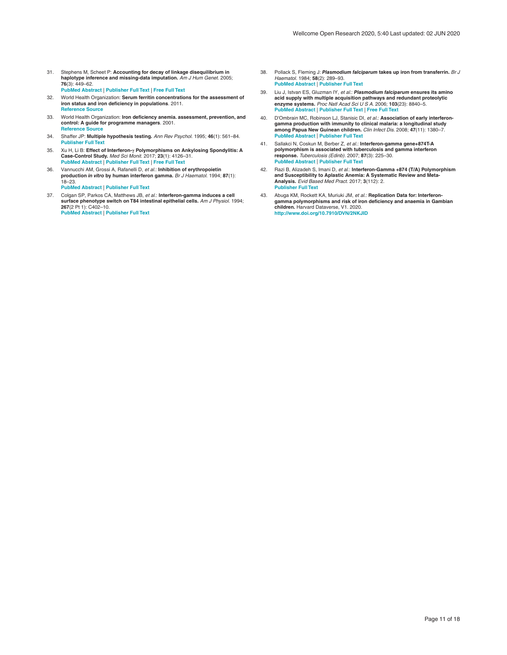- <span id="page-10-0"></span>31. Stephens M, Scheet P: **Accounting for decay of linkage disequilibrium in haplotype inference and missing-data imputation.** *Am J Hum Genet.* 2005; **76**(3): 449–62. **PubMed [Abstract](http://www.ncbi.nlm.nih.gov/pubmed/15700229)** | **[Publisher](http://dx.doi.org/10.1086/428594) Full Text** | **[Free](http://www.ncbi.nlm.nih.gov/pmc/articles/1196397) Full Text**
- 32. World Health Organization: **Serum ferritin concentrations for the assessment of iron status and iron deficiency in populations**. 2011. **[Reference](https://www.who.int/vmnis/indicators/serum_ferritin.pdf) Source**
- 33. World Health Organization: **Iron deficiency anemia. assessment, prevention, and control: A guide for programme managers**. 2001. **[Reference](https://www.who.int/nutrition/publications/en/ida_assessment_prevention_control.pdf) Source**
- 34. Shaffer JP: **Multiple hypothesis testing.** *Ann Rev Psychol.* 1995; **46**(1): 561–84. **[Publisher](http://dx.doi.org/10.1146/annurev.ps.46.020195.003021) Full Text**
- 35. Xu H, Li B: **Effect of Interferon-γ Polymorphisms on Ankylosing Spondylitis: A Case-Control Study.** *Med Sci Monit.* 2017; **23**(1): 4126–31. **PubMed [Abstract](http://www.ncbi.nlm.nih.gov/pubmed/28843049)** | **[Publisher](http://dx.doi.org/10.12659/msm.902822) Full Text** | **[Free](http://www.ncbi.nlm.nih.gov/pmc/articles/5584821) Full Text**
- 36. Vannucchi AM, Grossi A, Rafanelli D, *et al.*: **Inhibition of erythropoietin production** *in vitro* **by human interferon gamma.** *Br J Haematol.* 1994; **87**(1): 18–23. **PubMed [Abstract](http://www.ncbi.nlm.nih.gov/pubmed/7947242)** | **[Publisher](http://dx.doi.org/10.1111/j.1365-2141.1994.tb04864.x) Full Text**
- 37. Colgan SP, Parkos CA, Matthews JB, *et al.*: I**nterferon-gamma induces a cell**<br>surface phenotype switch on T84 intestinal epithelial cells. Am J Physiol. 1994; **267**(2 Pt 1): C402–10. **PubMed [Abstract](http://www.ncbi.nlm.nih.gov/pubmed/8074176)** | **[Publisher](http://dx.doi.org/10.1152/ajpcell.1994.267.2.C402) Full Text**
- 38. Pollack S, Fleming J: *Plasmodium falciparum* **takes up iron from transferrin.** *Br J Haematol.* 1984; **58**(2): 289–93. **PubMed [Abstract](http://www.ncbi.nlm.nih.gov/pubmed/6383456)** | **[Publisher](http://dx.doi.org/10.1111/j.1365-2141.1984.tb06087.x) Full Text**
- 39. Liu J, Istvan ES, Gluzman IY, *et al.*: *Plasmodium falciparum* **ensures its amino acid supply with multiple acquisition pathways and redundant proteolytic enzyme systems.** *Proc Natl Acad Sci U S A.* 2006; **103**(23): 8840–5. **PubMed [Abstract](http://www.ncbi.nlm.nih.gov/pubmed/16731623)** | **[Publisher](http://dx.doi.org/10.1073/pnas.0601876103) Full Text** | **[Free](http://www.ncbi.nlm.nih.gov/pmc/articles/1470969) Full Text**
- 40. D'Ombrain MC, Robinson LJ, Stanisic DI, *et al.*: **Association of early interferon**gamma production with immunity to clinical malaria: a longitudinal study<br>among Papua New Guinean children. *Clin Infect Dis.* 2008; 47(11): 1380–7. **PubMed [Abstract](http://www.ncbi.nlm.nih.gov/pubmed/18947328)** | **[Publisher](http://dx.doi.org/10.1086/592971) Full Text**
- 41. Sallakci N, Coskun M, Berber Z, *et al.*: **Interferon-gamma gene+874T-A polymorphism is associated with tuberculosis and gamma interferon response.** *Tuberculosis (Edinb).* 2007; **87**(3): 225–30. **PubMed [Abstract](http://www.ncbi.nlm.nih.gov/pubmed/17276141)** | **[Publisher](http://dx.doi.org/10.1016/j.tube.2006.10.002) Full Text**
- 42. Razi B, Alizadeh S, Imani D, *et al.*: **Interferon-Gamma +874 (T/A) Polymorphism and Susceptibility to Aplastic Anemia: A Systematic Review and Meta-Analysis.** *Evid Based Med Pract.* 2017; **3**(112): 2. **[Publisher](http://dx.doi.org/10.4172/2471-9919.1000112) Full Text**
- 43. Abuga KM, Rockett KA, Muriuki JM, et al.: Replication Data for: Interferon-<br>gamma polymorphisms and risk of iron deficiency and anaemia in Gambian **children.** Harvard Dataverse, V1. 2020. **<http://www.doi.org/10.7910/DVN/2NKJID>**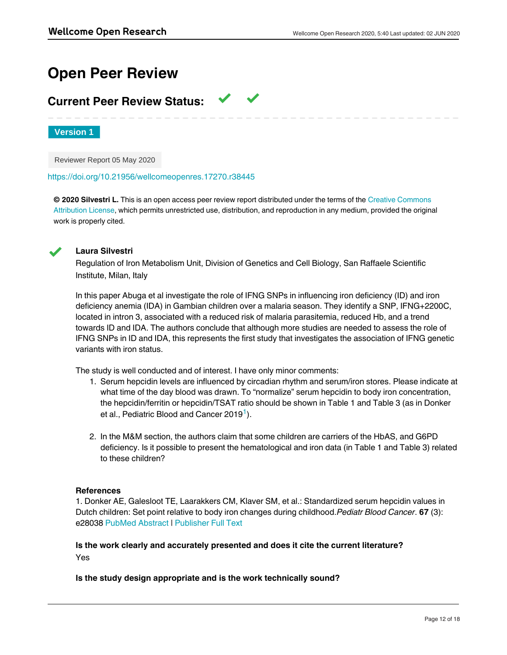# **Open Peer Review**

# **Current Peer Review Status:**

**Version 1**

Reviewer Report 05 May 2020

<https://doi.org/10.21956/wellcomeopenres.17270.r38445>

**© 2020 Silvestri L.** This is an open access peer review report distributed under the terms of the [Creative Commons](https://creativecommons.org/licenses/by/4.0/) [Attribution License](https://creativecommons.org/licenses/by/4.0/), which permits unrestricted use, distribution, and reproduction in any medium, provided the original work is properly cited.



# **Laura Silvestri**

Regulation of Iron Metabolism Unit, Division of Genetics and Cell Biology, San Raffaele Scientific Institute, Milan, Italy

In this paper Abuga et al investigate the role of IFNG SNPs in influencing iron deficiency (ID) and iron deficiency anemia (IDA) in Gambian children over a malaria season. They identify a SNP, IFNG+2200C, located in intron 3, associated with a reduced risk of malaria parasitemia, reduced Hb, and a trend towards ID and IDA. The authors conclude that although more studies are needed to assess the role of IFNG SNPs in ID and IDA, this represents the first study that investigates the association of IFNG genetic variants with iron status.

The study is well conducted and of interest. I have only minor comments:

- 1. Serum hepcidin levels are influenced by circadian rhythm and serum/iron stores. Please indicate at what time of the day blood was drawn. To "normalize" serum hepcidin to body iron concentration, the hepcidin/ferritin or hepcidin/TSAT ratio should be shown in Table 1 and Table 3 (as in Donker et al., Pediatric Blood and Cancer 20[1](#page-11-0)9<sup>1</sup>).
- 2. In the M&M section, the authors claim that some children are carriers of the HbAS, and G6PD deficiency. Is it possible to present the hematological and iron data (in Table 1 and Table 3) related to these children?

# **References**

Yes

<span id="page-11-0"></span>1. Donker AE, Galesloot TE, Laarakkers CM, Klaver SM, et al.: Standardized serum hepcidin values in Dutch children: Set point relative to body iron changes during childhood.*Pediatr Blood Cancer*. **67** (3): e28038 [PubMed Abstract](http://www.ncbi.nlm.nih.gov/pubmed/31724793) | [Publisher Full Text](https://doi.org/10.1002/pbc.28038)

# **Is the work clearly and accurately presented and does it cite the current literature?** Yes

# **Is the study design appropriate and is the work technically sound?**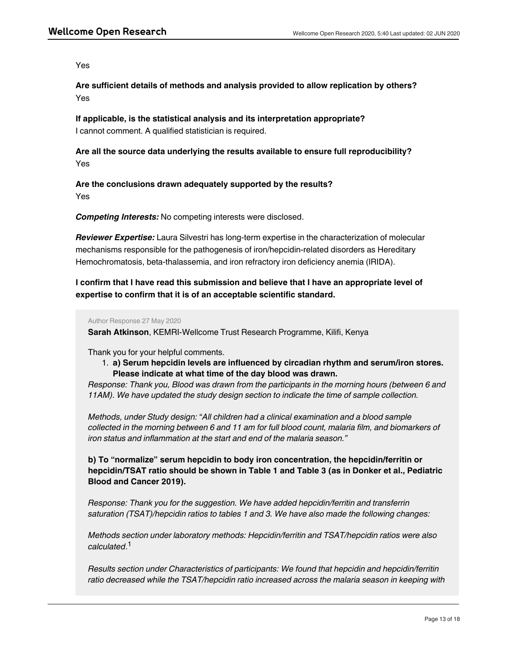Yes

**Are sufficient details of methods and analysis provided to allow replication by others?** Yes

**If applicable, is the statistical analysis and its interpretation appropriate?** I cannot comment. A qualified statistician is required.

**Are all the source data underlying the results available to ensure full reproducibility?** Yes

**Are the conclusions drawn adequately supported by the results?** Yes

*Competing Interests:* No competing interests were disclosed.

*Reviewer Expertise:* Laura Silvestri has long-term expertise in the characterization of molecular mechanisms responsible for the pathogenesis of iron/hepcidin-related disorders as Hereditary Hemochromatosis, beta-thalassemia, and iron refractory iron deficiency anemia (IRIDA).

**I confirm that I have read this submission and believe that I have an appropriate level of expertise to confirm that it is of an acceptable scientific standard.**

Author Response 27 May 2020

**Sarah Atkinson**, KEMRI-Wellcome Trust Research Programme, Kilifi, Kenya

Thank you for your helpful comments.

1. **a) Serum hepcidin levels are influenced by circadian rhythm and serum/iron stores. Please indicate at what time of the day blood was drawn.**

*Response: Thank you, Blood was drawn from the participants in the morning hours (between 6 and 11AM). We have updated the study design section to indicate the time of sample collection.*

*Methods, under Study design:* "*All children had a clinical examination and a blood sample collected in the morning between 6 and 11 am for full blood count, malaria film, and biomarkers of iron status and inflammation at the start and end of the malaria season."*

**b) To "normalize" serum hepcidin to body iron concentration, the hepcidin/ferritin or hepcidin/TSAT ratio should be shown in Table 1 and Table 3 (as in Donker et al., Pediatric Blood and Cancer 2019).**

*Response: Thank you for the suggestion. We have added hepcidin/ferritin and transferrin saturation (TSAT)/hepcidin ratios to tables 1 and 3. We have also made the following changes:*

*Methods section under laboratory methods: Hepcidin/ferritin and TSAT/hepcidin ratios were also calculated*. 1

*Results section under Characteristics of participants: We found that hepcidin and hepcidin/ferritin ratio decreased while the TSAT/hepcidin ratio increased across the malaria season in keeping with*

*the need for increased erythropoiesis and increased rates of iron absorption at the end of the*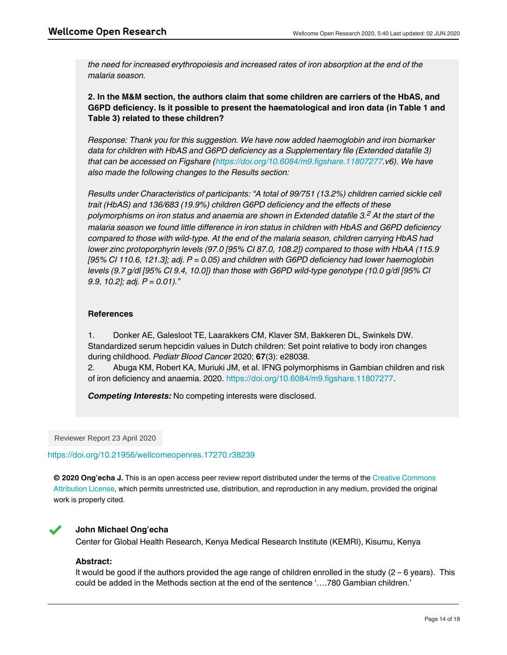*the need for increased erythropoiesis and increased rates of iron absorption at the end of the malaria season.*

**2. In the M&M section, the authors claim that some children are carriers of the HbAS, and G6PD deficiency. Is it possible to present the haematological and iron data (in Table 1 and Table 3) related to these children?**

*Response: Thank you for this suggestion. We have now added haemoglobin and iron biomarker data for children with HbAS and G6PD deficiency as a Supplementary file (Extended datafile 3) that can be accessed on Figshare (<https://doi.org/10.6084/m9.figshare.11807277>.v6). We have also made the following changes to the Results section:*

*Results under Characteristics of participants: "A total of 99/751 (13.2%) children carried sickle cell trait (HbAS) and 136/683 (19.9%) children G6PD deficiency and the effects of these polymorphisms on iron status and anaemia are shown in Extended datafile 3. At the start of the 2 malaria season we found little difference in iron status in children with HbAS and G6PD deficiency compared to those with wild-type. At the end of the malaria season, children carrying HbAS had lower zinc protoporphyrin levels (97.0 [95% CI 87.0, 108.2]) compared to those with HbAA (115.9 [95% CI 110.6, 121.3]; adj. P = 0.05) and children with G6PD deficiency had lower haemoglobin levels (9.7 g/dl [95% CI 9.4, 10.0]) than those with G6PD wild-type genotype (10.0 g/dl [95% CI 9.9, 10.2]; adj. P = 0.01)."*

# **References**

1. Donker AE, Galesloot TE, Laarakkers CM, Klaver SM, Bakkeren DL, Swinkels DW. Standardized serum hepcidin values in Dutch children: Set point relative to body iron changes during childhood. *Pediatr Blood Cancer* 2020; **67**(3): e28038.

2. Abuga KM, Robert KA, Muriuki JM, et al. IFNG polymorphisms in Gambian children and risk of iron deficiency and anaemia. 2020.<https://doi.org/10.6084/m9.figshare.11807277>.

*Competing Interests:* No competing interests were disclosed.

Reviewer Report 23 April 2020

<https://doi.org/10.21956/wellcomeopenres.17270.r38239>

**© 2020 Ong'echa J.** This is an open access peer review report distributed under the terms of the [Creative Commons](https://creativecommons.org/licenses/by/4.0/) [Attribution License](https://creativecommons.org/licenses/by/4.0/), which permits unrestricted use, distribution, and reproduction in any medium, provided the original work is properly cited.



# **John Michael Ong'echa**

Center for Global Health Research, Kenya Medical Research Institute (KEMRI), Kisumu, Kenya

# **Abstract:**

It would be good if the authors provided the age range of children enrolled in the study  $(2 - 6$  years). This could be added in the Methods section at the end of the sentence '….780 Gambian children.'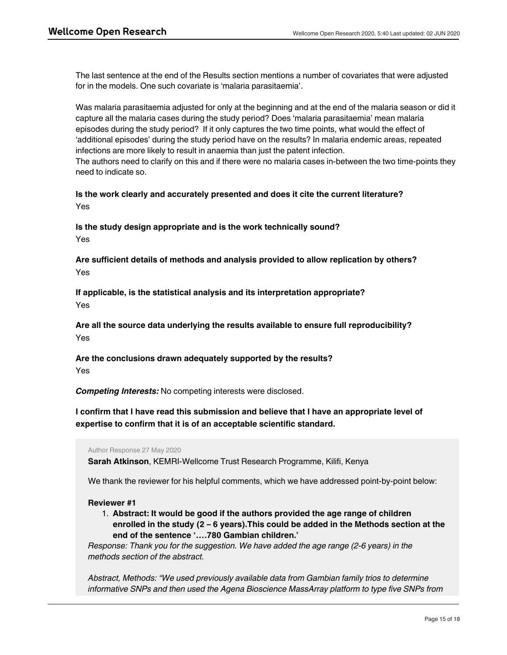The last sentence at the end of the Results section mentions a number of covariates that were adjusted for in the models. One such covariate is 'malaria parasitaemia'.

Was malaria parasitaemia adjusted for only at the beginning and at the end of the malaria season or did it capture all the malaria cases during the study period? Does 'malaria parasitaemia' mean malaria episodes during the study period? If it only captures the two time points, what would the effect of 'additional episodes' during the study period have on the results? In malaria endemic areas, repeated infections are more likely to result in anaemia than just the patent infection.

The authors need to clarify on this and if there were no malaria cases in-between the two time-points they need to indicate so.

**Is the work clearly and accurately presented and does it cite the current literature?** Yes

**Is the study design appropriate and is the work technically sound?** Yes

**Are sufficient details of methods and analysis provided to allow replication by others?** Yes

**If applicable, is the statistical analysis and its interpretation appropriate?** Yes

**Are all the source data underlying the results available to ensure full reproducibility?** Yes

**Are the conclusions drawn adequately supported by the results?** Yes

*Competing Interests:* No competing interests were disclosed.

**I confirm that I have read this submission and believe that I have an appropriate level of expertise to confirm that it is of an acceptable scientific standard.**

Author Response 27 May 2020

**Sarah Atkinson**, KEMRI-Wellcome Trust Research Programme, Kilifi, Kenya

*the IFNG gene in a cohort of 780 Gambian children aged 2-6 years".*

We thank the reviewer for his helpful comments, which we have addressed point-by-point below:

# **Reviewer #1**

1. **Abstract: It would be good if the authors provided the age range of children enrolled in the study (2 – 6 years).This could be added in the Methods section at the end of the sentence '….780 Gambian children.'**

*Response: Thank you for the suggestion. We have added the age range (2-6 years) in the methods section of the abstract.*

*Abstract, Methods: "We used previously available data from Gambian family trios to determine informative SNPs and then used the Agena Bioscience MassArray platform to type five SNPs from*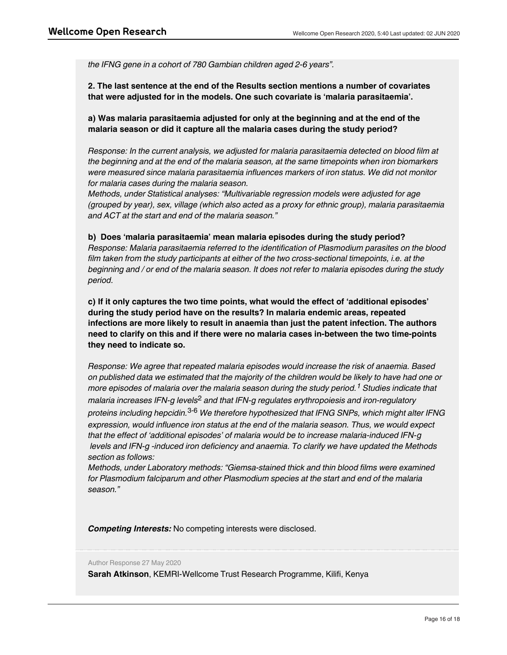*the IFNG gene in a cohort of 780 Gambian children aged 2-6 years".*

**2. The last sentence at the end of the Results section mentions a number of covariates that were adjusted for in the models. One such covariate is 'malaria parasitaemia'.** 

**a) Was malaria parasitaemia adjusted for only at the beginning and at the end of the malaria season or did it capture all the malaria cases during the study period?**

*Response: In the current analysis, we adjusted for malaria parasitaemia detected on blood film at the beginning and at the end of the malaria season, at the same timepoints when iron biomarkers were measured since malaria parasitaemia influences markers of iron status. We did not monitor for malaria cases during the malaria season.* 

*Methods, under Statistical analyses: "Multivariable regression models were adjusted for age (grouped by year), sex, village (which also acted as a proxy for ethnic group), malaria parasitaemia and ACT at the start and end of the malaria season."*

## **b) Does 'malaria parasitaemia' mean malaria episodes during the study period?**

*Response: Malaria parasitaemia referred to the identification of Plasmodium parasites on the blood film taken from the study participants at either of the two cross-sectional timepoints, i.e. at the beginning and / or end of the malaria season. It does not refer to malaria episodes during the study period.*

**c) If it only captures the two time points, what would the effect of 'additional episodes' during the study period have on the results? In malaria endemic areas, repeated infections are more likely to result in anaemia than just the patent infection. The authors need to clarify on this and if there were no malaria cases in-between the two time-points they need to indicate so.**

*Response: We agree that repeated malaria episodes would increase the risk of anaemia. Based on published data we estimated that the majority of the children would be likely to have had one or* more episodes of malaria over the malaria season during the study period. <sup>1</sup> Studies indicate that malaria increases IFN-g levels<sup>2</sup> and that IFN-g regulates erythropoiesis and iron-regulatory *proteins including hepcidin. We therefore hypothesized that IFNG SNPs, which might alter IFNG* 3-6 *expression, would influence iron status at the end of the malaria season. Thus, we would expect that the effect of 'additional episodes' of malaria would be to increase malaria-induced IFN-g levels and IFN-g -induced iron deficiency and anaemia. To clarify we have updated the Methods section as follows:* 

*Methods, under Laboratory methods: "Giemsa-stained thick and thin blood films were examined for Plasmodium falciparum and other Plasmodium species at the start and end of the malaria season."* 

We thank the reviewer for his helpful comments, which we have addressed point-by-point-by-point-by-point-by-point-

*Competing Interests:* No competing interests were disclosed.

Author Response 27 May 2020

**Sarah Atkinson**, KEMRI-Wellcome Trust Research Programme, Kilifi, Kenya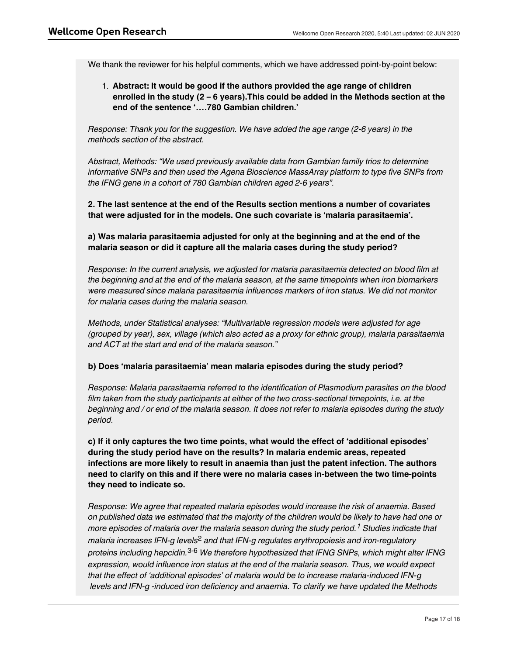*section as follows:* 

We thank the reviewer for his helpful comments, which we have addressed point-by-point below:

1. **Abstract: It would be good if the authors provided the age range of children enrolled in the study (2 – 6 years).This could be added in the Methods section at the end of the sentence '….780 Gambian children.'**

*Response: Thank you for the suggestion. We have added the age range (2-6 years) in the methods section of the abstract.*

*Abstract, Methods: "We used previously available data from Gambian family trios to determine informative SNPs and then used the Agena Bioscience MassArray platform to type five SNPs from the IFNG gene in a cohort of 780 Gambian children aged 2-6 years".*

**2. The last sentence at the end of the Results section mentions a number of covariates that were adjusted for in the models. One such covariate is 'malaria parasitaemia'.** 

**a) Was malaria parasitaemia adjusted for only at the beginning and at the end of the malaria season or did it capture all the malaria cases during the study period?**

*Response: In the current analysis, we adjusted for malaria parasitaemia detected on blood film at the beginning and at the end of the malaria season, at the same timepoints when iron biomarkers were measured since malaria parasitaemia influences markers of iron status. We did not monitor for malaria cases during the malaria season.* 

*Methods, under Statistical analyses: "Multivariable regression models were adjusted for age (grouped by year), sex, village (which also acted as a proxy for ethnic group), malaria parasitaemia and ACT at the start and end of the malaria season."*

# **b) Does 'malaria parasitaemia' mean malaria episodes during the study period?**

*Response: Malaria parasitaemia referred to the identification of Plasmodium parasites on the blood film taken from the study participants at either of the two cross-sectional timepoints, i.e. at the beginning and / or end of the malaria season. It does not refer to malaria episodes during the study period.*

**c) If it only captures the two time points, what would the effect of 'additional episodes' during the study period have on the results? In malaria endemic areas, repeated infections are more likely to result in anaemia than just the patent infection. The authors need to clarify on this and if there were no malaria cases in-between the two time-points they need to indicate so.**

*Response: We agree that repeated malaria episodes would increase the risk of anaemia. Based on published data we estimated that the majority of the children would be likely to have had one or* more episodes of malaria over the malaria season during the study period. <sup>1</sup> Studies indicate that malaria increases IFN-g levels<sup>2</sup> and that IFN-g regulates erythropoiesis and iron-regulatory *proteins including hepcidin. We therefore hypothesized that IFNG SNPs, which might alter IFNG* 3-6 *expression, would influence iron status at the end of the malaria season. Thus, we would expect that the effect of 'additional episodes' of malaria would be to increase malaria-induced IFN-g levels and IFN-g -induced iron deficiency and anaemia. To clarify we have updated the Methods*